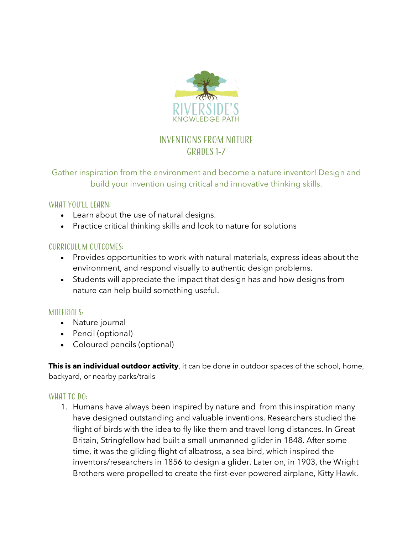

# Inventions from nature Grades 1-7

## Gather inspiration from the environment and become a nature inventor! Design and build your invention using critical and innovative thinking skills.

#### What you'll learn:

- Learn about the use of natural designs.
- Practice critical thinking skills and look to nature for solutions

#### Curriculum Outcomes:

- Provides opportunities to work with natural materials, express ideas about the environment, and respond visually to authentic design problems.
- Students will appreciate the impact that design has and how designs from nature can help build something useful.

#### MATERIALS:

- Nature journal
- Pencil (optional)
- Coloured pencils (optional)

**This is an individual outdoor activity**, it can be done in outdoor spaces of the school, home, backyard, or nearby parks/trails

#### WHAT TO DO:

1. Humans have always been inspired by nature and from this inspiration many have designed outstanding and valuable inventions. Researchers studied the flight of birds with the idea to fly like them and travel long distances. In Great Britain, Stringfellow had built a small unmanned glider in 1848. After some time, it was the gliding flight of albatross, a sea bird, which inspired the inventors/researchers in 1856 to design a glider. Later on, in 1903, the Wright Brothers were propelled to create the first-ever powered airplane, Kitty Hawk.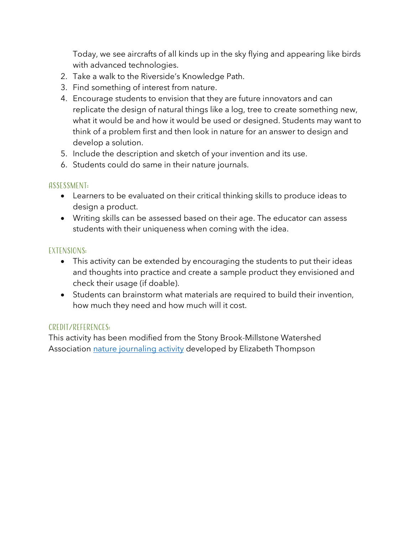Today, we see aircrafts of all kinds up in the sky flying and appearing like birds with advanced technologies.

- 2. Take a walk to the Riverside's Knowledge Path.
- 3. Find something of interest from nature.
- 4. Encourage students to envision that they are future innovators and can replicate the design of natural things like a log, tree to create something new, what it would be and how it would be used or designed. Students may want to think of a problem first and then look in nature for an answer to design and develop a solution.
- 5. Include the description and sketch of your invention and its use.
- 6. Students could do same in their nature journals.

#### Assessment:

- Learners to be evaluated on their critical thinking skills to produce ideas to design a product.
- Writing skills can be assessed based on their age. The educator can assess students with their uniqueness when coming with the idea.

### Extensions:

- This activity can be extended by encouraging the students to put their ideas and thoughts into practice and create a sample product they envisioned and check their usage (if doable).
- Students can brainstorm what materials are required to build their invention, how much they need and how much will it cost.

### Credit/References:

This activity has been modified from the Stony Brook-Millstone Watershed Association nature journaling activity developed by Elizabeth Thompson